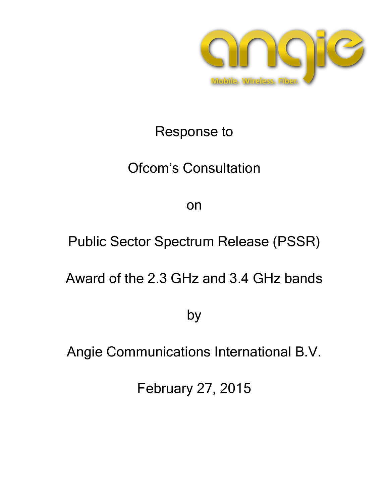

# Response to

# Ofcom's Consultation

on

Public Sector Spectrum Release (PSSR)

Award of the 2.3 GHz and 3.4 GHz bands

by

Angie Communications International B.V.

February 27, 2015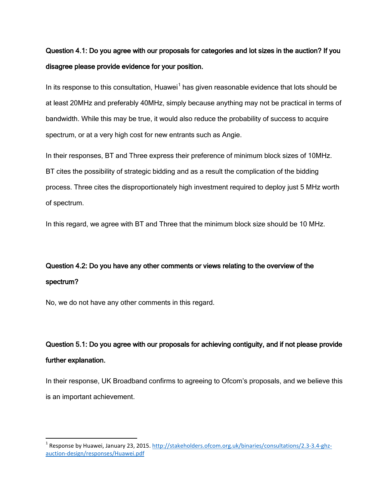### Question 4.1: Do you agree with our proposals for categories and lot sizes in the auction? If you disagree please provide evidence for your position.

In its response to this consultation, Huawei<sup>[1](#page-1-0)</sup> has given reasonable evidence that lots should be at least 20MHz and preferably 40MHz, simply because anything may not be practical in terms of bandwidth. While this may be true, it would also reduce the probability of success to acquire spectrum, or at a very high cost for new entrants such as Angie.

In their responses, BT and Three express their preference of minimum block sizes of 10MHz. BT cites the possibility of strategic bidding and as a result the complication of the bidding process. Three cites the disproportionately high investment required to deploy just 5 MHz worth of spectrum.

In this regard, we agree with BT and Three that the minimum block size should be 10 MHz.

## Question 4.2: Do you have any other comments or views relating to the overview of the spectrum?

No, we do not have any other comments in this regard.

 $\overline{\phantom{a}}$ 

## Question 5.1: Do you agree with our proposals for achieving contiguity, and if not please provide further explanation.

In their response, UK Broadband confirms to agreeing to Ofcom's proposals, and we believe this is an important achievement.

<span id="page-1-0"></span><sup>&</sup>lt;sup>1</sup> Response by Huawei, January 23, 2015. [http://stakeholders.ofcom.org.uk/binaries/consultations/2.3-3.4-ghz](http://stakeholders.ofcom.org.uk/binaries/consultations/2.3-3.4-ghz-auction-design/responses/Huawei.pdf)[auction-design/responses/Huawei.pdf](http://stakeholders.ofcom.org.uk/binaries/consultations/2.3-3.4-ghz-auction-design/responses/Huawei.pdf)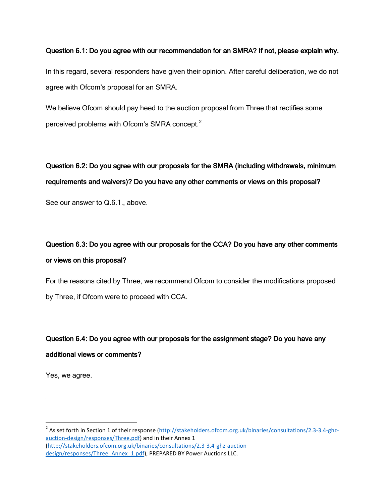#### Question 6.1: Do you agree with our recommendation for an SMRA? If not, please explain why.

In this regard, several responders have given their opinion. After careful deliberation, we do not agree with Ofcom's proposal for an SMRA.

We believe Ofcom should pay heed to the auction proposal from Three that rectifies some perceived problems with Ofcom's SMRA concept.<sup>[2](#page-2-0)</sup>

Question 6.2: Do you agree with our proposals for the SMRA (including withdrawals, minimum requirements and waivers)? Do you have any other comments or views on this proposal? See our answer to Q.6.1., above.

## Question 6.3: Do you agree with our proposals for the CCA? Do you have any other comments or views on this proposal?

For the reasons cited by Three, we recommend Ofcom to consider the modifications proposed by Three, if Ofcom were to proceed with CCA.

# Question 6.4: Do you agree with our proposals for the assignment stage? Do you have any additional views or comments?

Yes, we agree.

 $\overline{\phantom{a}}$ 

<span id="page-2-0"></span><sup>2</sup> As set forth in Section 1 of their response [\(http://stakeholders.ofcom.org.uk/binaries/consultations/2.3-3.4-ghz](http://stakeholders.ofcom.org.uk/binaries/consultations/2.3-3.4-ghz-auction-design/responses/Three.pdf)[auction-design/responses/Three.pdf\)](http://stakeholders.ofcom.org.uk/binaries/consultations/2.3-3.4-ghz-auction-design/responses/Three.pdf) and in their Annex 1 [\(http://stakeholders.ofcom.org.uk/binaries/consultations/2.3-3.4-ghz-auction](http://stakeholders.ofcom.org.uk/binaries/consultations/2.3-3.4-ghz-auction-design/responses/Three_Annex_1.pdf)[design/responses/Three\\_Annex\\_1.pdf\)](http://stakeholders.ofcom.org.uk/binaries/consultations/2.3-3.4-ghz-auction-design/responses/Three_Annex_1.pdf), PREPARED BY Power Auctions LLC.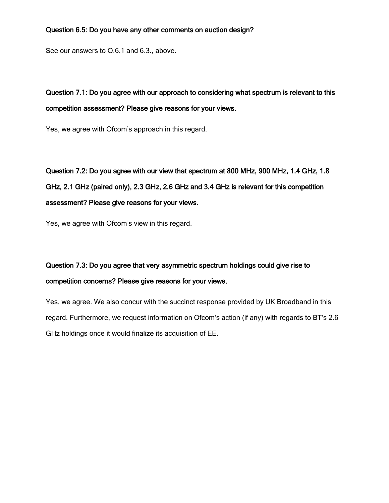#### Question 6.5: Do you have any other comments on auction design?

See our answers to Q.6.1 and 6.3., above.

### Question 7.1: Do you agree with our approach to considering what spectrum is relevant to this competition assessment? Please give reasons for your views.

Yes, we agree with Ofcom's approach in this regard.

# Question 7.2: Do you agree with our view that spectrum at 800 MHz, 900 MHz, 1.4 GHz, 1.8 GHz, 2.1 GHz (paired only), 2.3 GHz, 2.6 GHz and 3.4 GHz is relevant for this competition assessment? Please give reasons for your views.

Yes, we agree with Ofcom's view in this regard.

### Question 7.3: Do you agree that very asymmetric spectrum holdings could give rise to competition concerns? Please give reasons for your views.

Yes, we agree. We also concur with the succinct response provided by UK Broadband in this regard. Furthermore, we request information on Ofcom's action (if any) with regards to BT's 2.6 GHz holdings once it would finalize its acquisition of EE.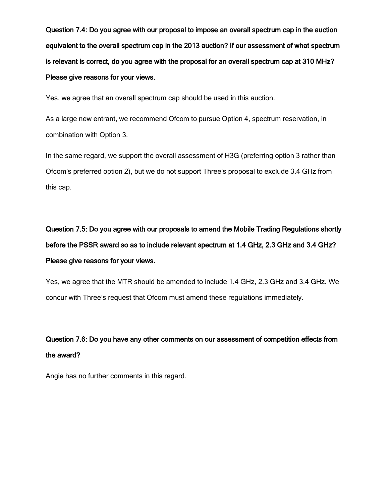Question 7.4: Do you agree with our proposal to impose an overall spectrum cap in the auction equivalent to the overall spectrum cap in the 2013 auction? If our assessment of what spectrum is relevant is correct, do you agree with the proposal for an overall spectrum cap at 310 MHz? Please give reasons for your views.

Yes, we agree that an overall spectrum cap should be used in this auction.

As a large new entrant, we recommend Ofcom to pursue Option 4, spectrum reservation, in combination with Option 3.

In the same regard, we support the overall assessment of H3G (preferring option 3 rather than Ofcom's preferred option 2), but we do not support Three's proposal to exclude 3.4 GHz from this cap.

Question 7.5: Do you agree with our proposals to amend the Mobile Trading Regulations shortly before the PSSR award so as to include relevant spectrum at 1.4 GHz, 2.3 GHz and 3.4 GHz? Please give reasons for your views.

Yes, we agree that the MTR should be amended to include 1.4 GHz, 2.3 GHz and 3.4 GHz. We concur with Three's request that Ofcom must amend these regulations immediately.

# Question 7.6: Do you have any other comments on our assessment of competition effects from the award?

Angie has no further comments in this regard.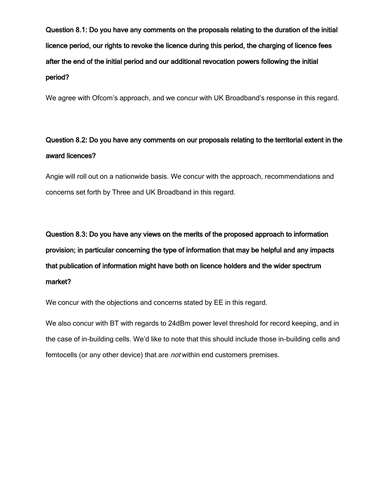Question 8.1: Do you have any comments on the proposals relating to the duration of the initial licence period, our rights to revoke the licence during this period, the charging of licence fees after the end of the initial period and our additional revocation powers following the initial period?

We agree with Ofcom's approach, and we concur with UK Broadband's response in this regard.

### Question 8.2: Do you have any comments on our proposals relating to the territorial extent in the award licences?

Angie will roll out on a nationwide basis. We concur with the approach, recommendations and concerns set forth by Three and UK Broadband in this regard.

Question 8.3: Do you have any views on the merits of the proposed approach to information provision; in particular concerning the type of information that may be helpful and any impacts that publication of information might have both on licence holders and the wider spectrum market?

We concur with the objections and concerns stated by EE in this regard.

We also concur with BT with regards to 24dBm power level threshold for record keeping, and in the case of in-building cells. We'd like to note that this should include those in-building cells and femtocells (or any other device) that are *not* within end customers premises.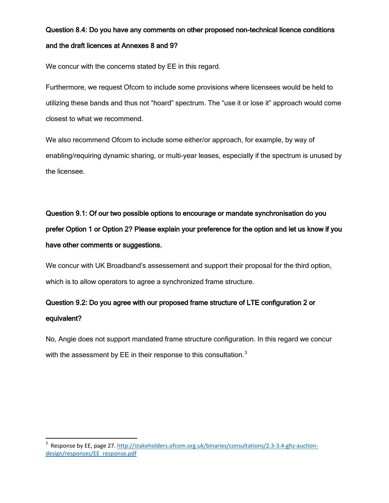## Question 8.4: Do you have any comments on other proposed non-technical licence conditions and the draft licences at Annexes 8 and 9?

We concur with the concerns stated by EE in this regard.

Furthermore, we request Ofcom to include some provisions where licensees would be held to utilizing these bands and thus not "hoard" spectrum. The "use it or lose it" approach would come closest to what we recommend.

We also recommend Ofcom to include some either/or approach, for example, by way of enabling/requiring dynamic sharing, or multi-year leases, especially if the spectrum is unused by the licensee.

# Question 9.1: Of our two possible options to encourage or mandate synchronisation do you prefer Option 1 or Option 2? Please explain your preference for the option and let us know if you have other comments or suggestions.

We concur with UK Broadband's assessement and support their proposal for the third option, which is to allow operators to agree a synchronized frame structure.

### Question 9.2: Do you agree with our proposed frame structure of LTE configuration 2 or equivalent?

No, Angie does not support mandated frame structure configuration. In this regard we concur with the assessment by EE in their response to this consultation. $3$ 

 $\overline{\phantom{a}}$ 

<span id="page-6-0"></span><sup>&</sup>lt;sup>3</sup> Response by EE, page 27[. http://stakeholders.ofcom.org.uk/binaries/consultations/2.3-3.4-ghz-auction](http://stakeholders.ofcom.org.uk/binaries/consultations/2.3-3.4-ghz-auction-design/responses/EE_response.pdf)[design/responses/EE\\_response.pdf](http://stakeholders.ofcom.org.uk/binaries/consultations/2.3-3.4-ghz-auction-design/responses/EE_response.pdf)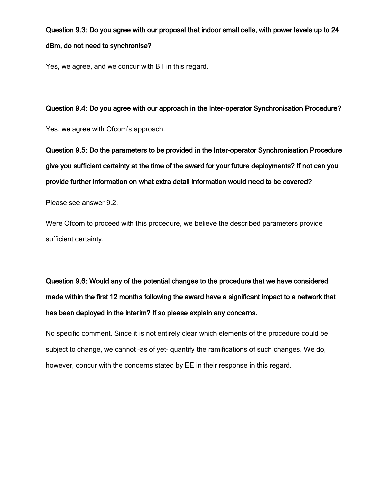# Question 9.3: Do you agree with our proposal that indoor small cells, with power levels up to 24 dBm, do not need to synchronise?

Yes, we agree, and we concur with BT in this regard.

Question 9.4: Do you agree with our approach in the Inter-operator Synchronisation Procedure?

Yes, we agree with Ofcom's approach.

Question 9.5: Do the parameters to be provided in the Inter-operator Synchronisation Procedure give you sufficient certainty at the time of the award for your future deployments? If not can you provide further information on what extra detail information would need to be covered?

Please see answer 9.2.

Were Ofcom to proceed with this procedure, we believe the described parameters provide sufficient certainty.

Question 9.6: Would any of the potential changes to the procedure that we have considered made within the first 12 months following the award have a significant impact to a network that has been deployed in the interim? If so please explain any concerns.

No specific comment. Since it is not entirely clear which elements of the procedure could be subject to change, we cannot –as of yet- quantify the ramifications of such changes. We do, however, concur with the concerns stated by EE in their response in this regard.